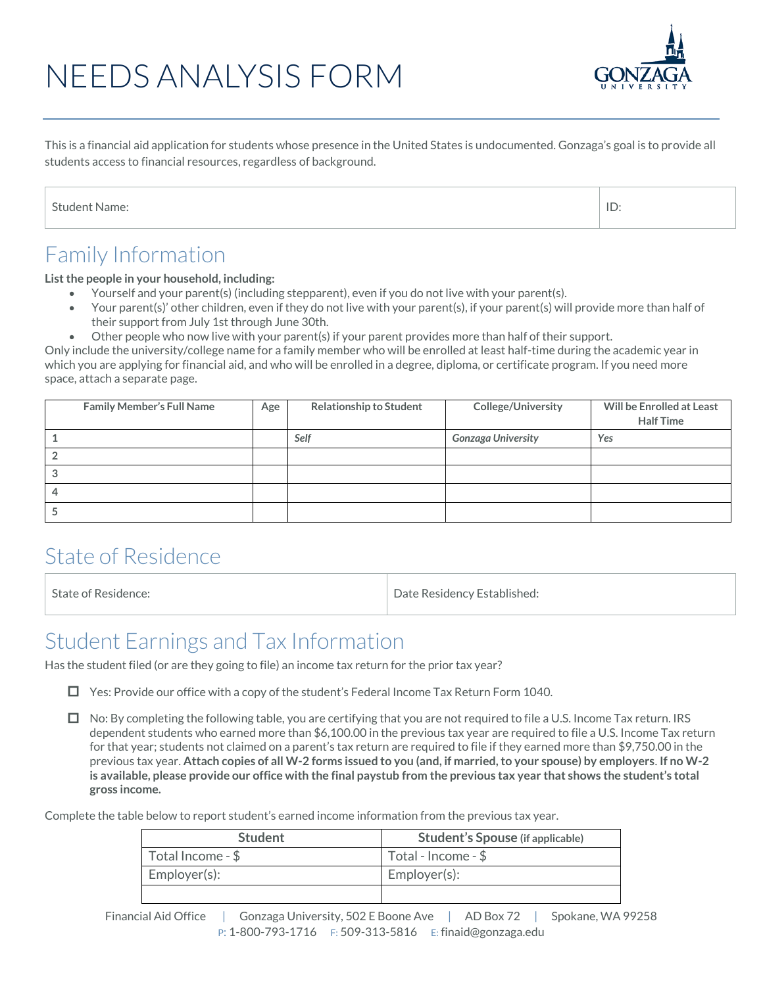# NEEDS ANALYSIS FORM



This is a financial aid application for students whose presence in the United States is undocumented. Gonzaga's goal is to provide all students access to financial resources, regardless of background.

| <b>Student Name:</b> |  |
|----------------------|--|
|                      |  |

#### Family Information

**List the people in your household, including:**

- Yourself and your parent(s) (including stepparent), even if you do not live with your parent(s).
- Your parent(s)' other children, even if they do not live with your parent(s), if your parent(s) will provide more than half of their support from July 1st through June 30th.
- Other people who now live with your parent(s) if your parent provides more than half of their support.

Only include the university/college name for a family member who will be enrolled at least half-time during the academic year in which you are applying for financial aid, and who will be enrolled in a degree, diploma, or certificate program. If you need more space, attach a separate page.

| <b>Family Member's Full Name</b> | Age | <b>Relationship to Student</b> | <b>College/University</b> | Will be Enrolled at Least<br><b>Half Time</b> |
|----------------------------------|-----|--------------------------------|---------------------------|-----------------------------------------------|
|                                  |     | Self                           | <b>Gonzaga University</b> | Yes                                           |
|                                  |     |                                |                           |                                               |
|                                  |     |                                |                           |                                               |
|                                  |     |                                |                           |                                               |
|                                  |     |                                |                           |                                               |

#### State of Residence

State of Residence: The Contract of Residence: The Date Residency Established:

#### Student Earnings and Tax Information

Has the student filed (or are they going to file) an income tax return for the prior tax year?

□ Yes: Provide our office with a copy of the student's Federal Income Tax Return Form 1040.

 $\Box$  No: By completing the following table, you are certifying that you are not required to file a U.S. Income Tax return. IRS dependent students who earned more than \$6,100.00 in the previous tax year are required to file a U.S. Income Tax return for that year; students not claimed on a parent's tax return are required to file if they earned more than \$9,750.00 in the previous tax year. **Attach copies of all W-2 forms issued to you (and, if married, to your spouse) by employers**. **If no W-2 is available, please provide our office with the final paystub from the previous tax year that shows the student's total gross income.**

Complete the table below to report student's earned income information from the previous tax year.

| <b>Student</b>               | <b>Student's Spouse (if applicable)</b> |
|------------------------------|-----------------------------------------|
| $\mid$ Total Income - $\$\,$ | Total - Income - $$$                    |
| Employer(s):                 | Employer(s):                            |
|                              |                                         |